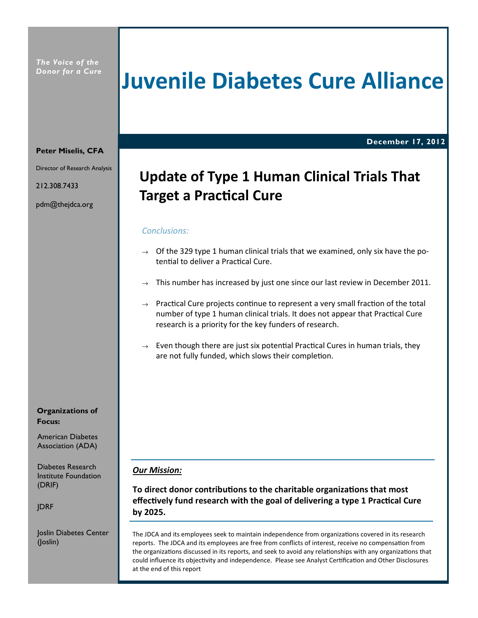The Voice of the Donor for a Cure

# Juvenile Diabetes Cure Alliance

December 17, 2012

#### Peter Miselis, CFA

Director of Research Analysis

212.308.7433

pdm@thejdca.org

Organizations of Focus:

American Diabetes Association (ADA)

Diabetes Research Institute Foundation (DRIF)

JDRF

Joslin Diabetes Center (Joslin)

## Update of Type 1 Human Clinical Trials That **Target a Practical Cure**

#### Conclusions:

- $\rightarrow$  Of the 329 type 1 human clinical trials that we examined, only six have the potential to deliver a Practical Cure.
- $\rightarrow$  This number has increased by just one since our last review in December 2011.
- $\rightarrow$  Practical Cure projects continue to represent a very small fraction of the total number of type 1 human clinical trials. It does not appear that Practical Cure research is a priority for the key funders of research.
- $\rightarrow$  Even though there are just six potential Practical Cures in human trials, they are not fully funded, which slows their completion.

#### Our Mission:

To direct donor contributions to the charitable organizations that most effectively fund research with the goal of delivering a type 1 Practical Cure by 2025.

The JDCA and its employees seek to maintain independence from organizations covered in its research reports. The JDCA and its employees are free from conflicts of interest, receive no compensation from the organizations discussed in its reports, and seek to avoid any relationships with any organizations that could influence its objectivity and independence. Please see Analyst Certification and Other Disclosures at the end of this report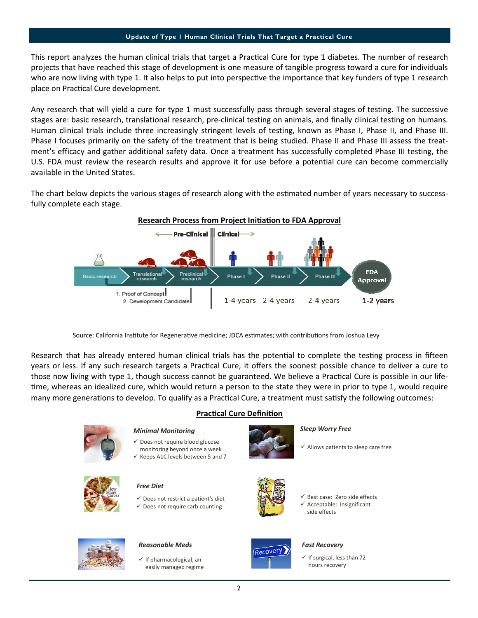This report analyzes the human clinical trials that target a Practical Cure for type 1 diabetes. The number of research projects that have reached this stage of development is one measure of tangible progress toward a cure for individuals who are now living with type 1. It also helps to put into perspective the importance that key funders of type 1 research place on Practical Cure development.

Any research that will yield a cure for type 1 must successfully pass through several stages of testing. The successive stages are: basic research, translational research, pre-clinical testing on animals, and finally clinical testing on humans. Human clinical trials include three increasingly stringent levels of testing, known as Phase I, Phase II, and Phase III. Phase I focuses primarily on the safety of the treatment that is being studied. Phase II and Phase III assess the treatment's efficacy and gather additional safety data. Once a treatment has successfully completed Phase III testing, the U.S. FDA must review the research results and approve it for use before a potential cure can become commercially available in the United States.

The chart below depicts the various stages of research along with the estimated number of years necessary to successfully complete each stage.



Source: California Institute for Regenerative medicine; JDCA estimates; with contributions from Joshua Levy

Research that has already entered human clinical trials has the potential to complete the testing process in fifteen years or less. If any such research targets a Practical Cure, it offers the soonest possible chance to deliver a cure to those now living with type 1, though success cannot be guaranteed. We believe a Practical Cure is possible in our lifeme, whereas an idealized cure, which would return a person to the state they were in prior to type 1, would require many more generations to develop. To qualify as a Practical Cure, a treatment must satisfy the following outcomes:



#### **Practical Cure Definition**

#### Minimal Monitoring

- $\checkmark$  Does not require blood glucose monitoring beyond once a week
- $\checkmark$  Keeps A1C levels between 5 and 7



#### Free Diet

 $\checkmark$  Does not restrict a patient's diet  $\checkmark$  Does not require carb counting



## Reasonable Meds<br>
Fast Recovery
Fast Recovery
Fast Recovery
Fast Recovery
Fast Recovery
Fast Recovery
Fast Recovery
Fast Recovery
Fast Recovery
Fast Recovery
Fast Recovery
Fast Recovery
Fast Recovery
Fast Recovery
Fast Reco

 $\checkmark$  If pharmacological, an easily managed regime



#### Sleep Worry Free

 $\checkmark$  Allows patients to sleep care free



- $\checkmark$  Best case: Zero side effects  $\checkmark$  Acceptable: Insignificant
- side effects



 $\checkmark$  If surgical, less than 72 hours recovery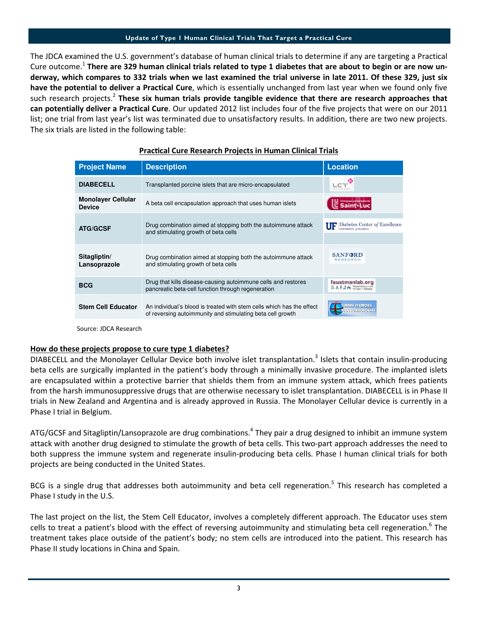The JDCA examined the U.S. government's database of human clinical trials to determine if any are targeting a Practical Cure outcome.<sup>1</sup> There are 329 human clinical trials related to type 1 diabetes that are about to begin or are now underway, which compares to 332 trials when we last examined the trial universe in late 2011. Of these 329, just six have the potential to deliver a Practical Cure, which is essentially unchanged from last year when we found only five such research projects.<sup>2</sup> These six human trials provide tangible evidence that there are research approaches that can potentially deliver a Practical Cure. Our updated 2012 list includes four of the five projects that were on our 2011 list; one trial from last year's list was terminated due to unsatisfactory results. In addition, there are two new projects. The six trials are listed in the following table:

| <b>Project Name</b>                        | <b>Description</b>                                                                                                                  | <b>Location</b>                                                                                                                                   |
|--------------------------------------------|-------------------------------------------------------------------------------------------------------------------------------------|---------------------------------------------------------------------------------------------------------------------------------------------------|
| <b>DIABECELL</b>                           | Transplanted porcine islets that are micro-encapsulated                                                                             |                                                                                                                                                   |
| <b>Monolayer Cellular</b><br><b>Device</b> | A beta cell encapsulation approach that uses human islets                                                                           |                                                                                                                                                   |
| <b>ATG/GCSF</b>                            | Drug combination aimed at stopping both the autoimmune attack<br>and stimulating growth of beta cells                               | Diabetes Center of Excellence<br>UFI<br>UNIVERSITY of FLORIDA                                                                                     |
| Sitagliptin/<br>Lansoprazole               | Drug combination aimed at stopping both the autoimmune attack<br>and stimulating growth of beta cells                               | <b>SANFORD</b><br><b>RESEARCH</b>                                                                                                                 |
| <b>BCG</b>                                 | Drug that kills disease-causing autoimmune cells and restores<br>pancreatic beta-cell function through regeneration                 | faustmanlab.org<br>$E_{\alpha}$ $\hat{\mathbf{r}}$ $\hat{\mathbf{r}}$ $\hat{\mathbf{r}}$ $\hat{\mathbf{r}}$ $\hat{\mathbf{r}}$ Researching a curv |
| <b>Stem Cell Educator</b>                  | An individual's blood is treated with stem cells which has the effect<br>of reversing autoimmunity and stimulating beta cell growth | <b>TIANNE STEMCELL</b><br><b>OTECHNOLOGIE</b>                                                                                                     |
|                                            |                                                                                                                                     |                                                                                                                                                   |

#### Practical Cure Research Projects in Human Clinical Trials

Source: JDCA Research

#### How do these projects propose to cure type 1 diabetes?

DIABECELL and the Monolayer Cellular Device both involve islet transplantation.<sup>3</sup> Islets that contain insulin-producing beta cells are surgically implanted in the patient's body through a minimally invasive procedure. The implanted islets are encapsulated within a protective barrier that shields them from an immune system attack, which frees patients from the harsh immunosuppressive drugs that are otherwise necessary to islet transplantation. DIABECELL is in Phase II trials in New Zealand and Argentina and is already approved in Russia. The Monolayer Cellular device is currently in a Phase I trial in Belgium.

ATG/GCSF and Sitagliptin/Lansoprazole are drug combinations.<sup>4</sup> They pair a drug designed to inhibit an immune system attack with another drug designed to stimulate the growth of beta cells. This two-part approach addresses the need to both suppress the immune system and regenerate insulin-producing beta cells. Phase I human clinical trials for both projects are being conducted in the United States.

BCG is a single drug that addresses both autoimmunity and beta cell regeneration.<sup>5</sup> This research has completed a Phase I study in the U.S.

The last project on the list, the Stem Cell Educator, involves a completely different approach. The Educator uses stem cells to treat a patient's blood with the effect of reversing autoimmunity and stimulating beta cell regeneration.<sup>6</sup> The treatment takes place outside of the patient's body; no stem cells are introduced into the patient. This research has Phase II study locations in China and Spain.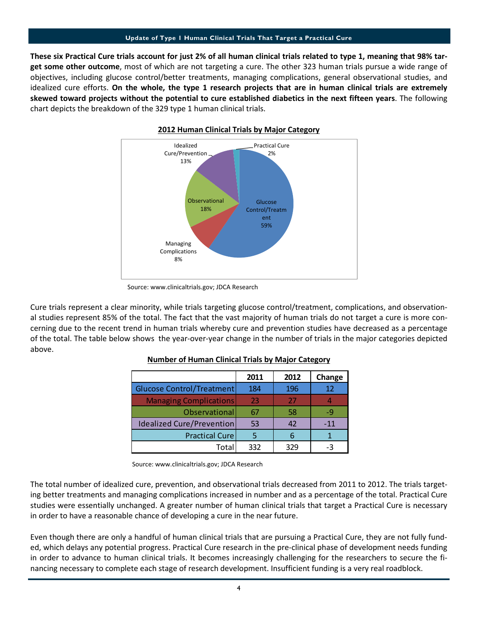These six Practical Cure trials account for just 2% of all human clinical trials related to type 1, meaning that 98% target some other outcome, most of which are not targeting a cure. The other 323 human trials pursue a wide range of objectives, including glucose control/better treatments, managing complications, general observational studies, and idealized cure efforts. On the whole, the type 1 research projects that are in human clinical trials are extremely skewed toward projects without the potential to cure established diabetics in the next fifteen years. The following chart depicts the breakdown of the 329 type 1 human clinical trials.



#### 2012 Human Clinical Trials by Major Category

Cure trials represent a clear minority, while trials targeting glucose control/treatment, complications, and observational studies represent 85% of the total. The fact that the vast majority of human trials do not target a cure is more concerning due to the recent trend in human trials whereby cure and prevention studies have decreased as a percentage of the total. The table below shows the year-over-year change in the number of trials in the major categories depicted above.

|                                  | 2011 | 2012 | Change |
|----------------------------------|------|------|--------|
| Glucose Control/Treatment        | 184  | 196  | 12     |
| <b>Managing Complications</b>    | 23   | 27   |        |
| Observational                    | 67   | 58   | -9     |
| <b>Idealized Cure/Prevention</b> | 53   | 42   | $-11$  |
| <b>Practical Cure</b>            |      |      |        |
| Total                            | 332  | 329  |        |

## Number of Human Clinical Trials by Major Category

Source: www.clinicaltrials.gov; JDCA Research

The total number of idealized cure, prevention, and observational trials decreased from 2011 to 2012. The trials targeting better treatments and managing complications increased in number and as a percentage of the total. Practical Cure studies were essentially unchanged. A greater number of human clinical trials that target a Practical Cure is necessary in order to have a reasonable chance of developing a cure in the near future.

Even though there are only a handful of human clinical trials that are pursuing a Practical Cure, they are not fully funded, which delays any potential progress. Practical Cure research in the pre-clinical phase of development needs funding in order to advance to human clinical trials. It becomes increasingly challenging for the researchers to secure the financing necessary to complete each stage of research development. Insufficient funding is a very real roadblock.

Source: www.clinicaltrials.gov; JDCA Research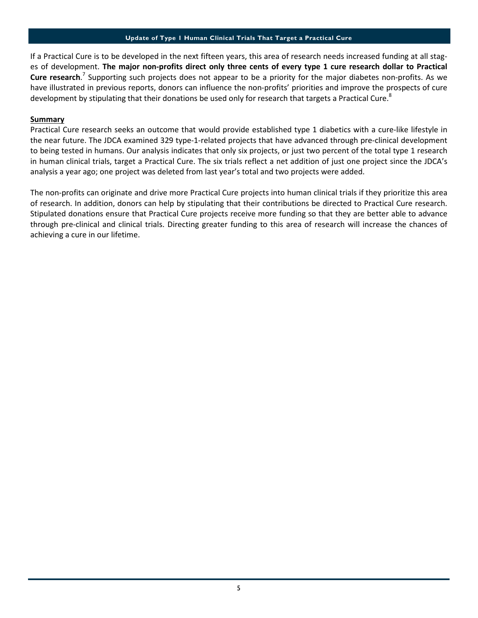If a Practical Cure is to be developed in the next fifteen years, this area of research needs increased funding at all stages of development. The major non-profits direct only three cents of every type 1 cure research dollar to Practical Cure research.<sup>7</sup> Supporting such projects does not appear to be a priority for the major diabetes non-profits. As we have illustrated in previous reports, donors can influence the non-profits' priorities and improve the prospects of cure development by stipulating that their donations be used only for research that targets a Practical Cure.<sup>8</sup>

#### **Summary**

Practical Cure research seeks an outcome that would provide established type 1 diabetics with a cure-like lifestyle in the near future. The JDCA examined 329 type-1-related projects that have advanced through pre-clinical development to being tested in humans. Our analysis indicates that only six projects, or just two percent of the total type 1 research in human clinical trials, target a Practical Cure. The six trials reflect a net addition of just one project since the JDCA's analysis a year ago; one project was deleted from last year's total and two projects were added.

The non-profits can originate and drive more Practical Cure projects into human clinical trials if they prioritize this area of research. In addition, donors can help by stipulating that their contributions be directed to Practical Cure research. Stipulated donations ensure that Practical Cure projects receive more funding so that they are better able to advance through pre-clinical and clinical trials. Directing greater funding to this area of research will increase the chances of achieving a cure in our lifetime.